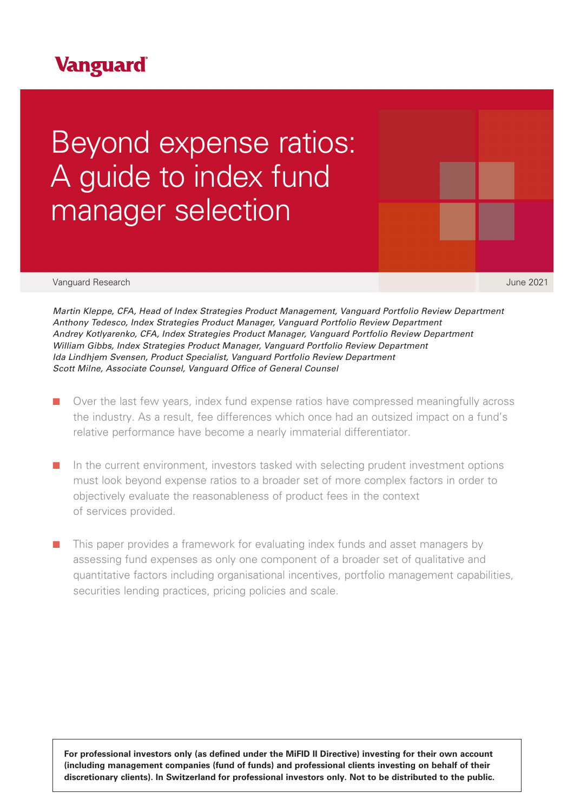## **Vanguard**

# Beyond expense ratios: A guide to index fund manager selection

Vanguard Research June 2021

*Martin Kleppe, CFA, Head of Index Strategies Product Management, Vanguard Portfolio Review Department Anthony Tedesco, Index Strategies Product Manager, Vanguard Portfolio Review Department Andrey Kotlyarenko, CFA, Index Strategies Product Manager, Vanguard Portfolio Review Department William Gibbs, Index Strategies Product Manager, Vanguard Portfolio Review Department Ida Lindhjem Svensen, Product Specialist, Vanguard Portfolio Review Department Scott Milne, Associate Counsel, Vanguard Office of General Counsel* 

- Over the last few years, index fund expense ratios have compressed meaningfully across the industry. As a result, fee differences which once had an outsized impact on a fund's relative performance have become a nearly immaterial differentiator.
- In the current environment, investors tasked with selecting prudent investment options must look beyond expense ratios to a broader set of more complex factors in order to objectively evaluate the reasonableness of product fees in the context of services provided.
- This paper provides a framework for evaluating index funds and asset managers by assessing fund expenses as only one component of a broader set of qualitative and quantitative factors including organisational incentives, portfolio management capabilities, securities lending practices, pricing policies and scale.

**For professional investors only (as defined under the MiFID II Directive) investing for their own account (including management companies (fund of funds) and professional clients investing on behalf of their discretionary clients). In Switzerland for professional investors only. Not to be distributed to the public.**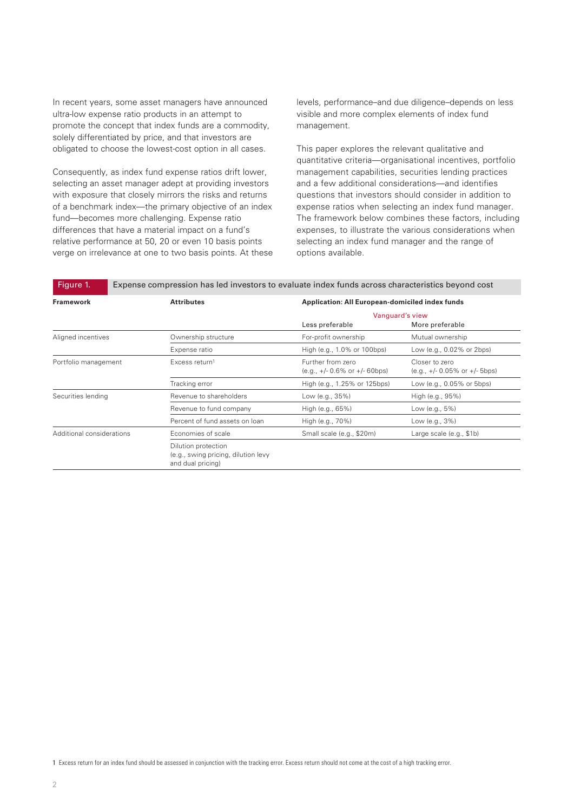In recent years, some asset managers have announced ultra-low expense ratio products in an attempt to promote the concept that index funds are a commodity, solely differentiated by price, and that investors are obligated to choose the lowest-cost option in all cases.

Consequently, as index fund expense ratios drift lower, selecting an asset manager adept at providing investors with exposure that closely mirrors the risks and returns of a benchmark index—the primary objective of an index fund—becomes more challenging. Expense ratio differences that have a material impact on a fund's relative performance at 50, 20 or even 10 basis points verge on irrelevance at one to two basis points. At these levels, performance–and due diligence–depends on less visible and more complex elements of index fund management.

This paper explores the relevant qualitative and quantitative criteria—organisational incentives, portfolio management capabilities, securities lending practices and a few additional considerations—and identifies questions that investors should consider in addition to expense ratios when selecting an index fund manager. The framework below combines these factors, including expenses, to illustrate the various considerations when selecting an index fund manager and the range of options available.

| <b>Framework</b>          | <b>Attributes</b>                                                               | <b>Application: All European-domiciled index funds</b><br>Vanguard's view |                                                    |
|---------------------------|---------------------------------------------------------------------------------|---------------------------------------------------------------------------|----------------------------------------------------|
|                           |                                                                                 |                                                                           |                                                    |
|                           |                                                                                 | Less preferable                                                           | More preferable                                    |
| Aligned incentives        | Ownership structure                                                             | For-profit ownership                                                      | Mutual ownership                                   |
|                           | Expense ratio                                                                   | High (e.g., 1.0% or 100bps)                                               | Low (e.g., 0.02% or 2bps)                          |
| Portfolio management      | Excess return <sup>1</sup>                                                      | Further from zero<br>$(e.q., +/-0.6\% or +/-60bps)$                       | Closer to zero<br>$(e.q., +/- 0.05\% or +/- 5bps)$ |
|                           | Tracking error                                                                  | High (e.g., 1.25% or 125bps)                                              | Low (e.g., 0.05% or 5bps)                          |
| Securities lending        | Revenue to shareholders                                                         | Low (e.g., 35%)                                                           | High (e.g., 95%)                                   |
|                           | Revenue to fund company                                                         | High (e.g., 65%)                                                          | Low (e.g., 5%)                                     |
|                           | Percent of fund assets on loan                                                  | High (e.g., 70%)                                                          | Low (e.g., 3%)                                     |
| Additional considerations | Economies of scale                                                              | Small scale (e.g., \$20m)                                                 | Large scale (e.g., \$1b)                           |
|                           | Dilution protection<br>(e.g., swing pricing, dilution levy<br>and dual pricing) |                                                                           |                                                    |

1 Excess return for an index fund should be assessed in conjunction with the tracking error. Excess return should not come at the cost of a high tracking error.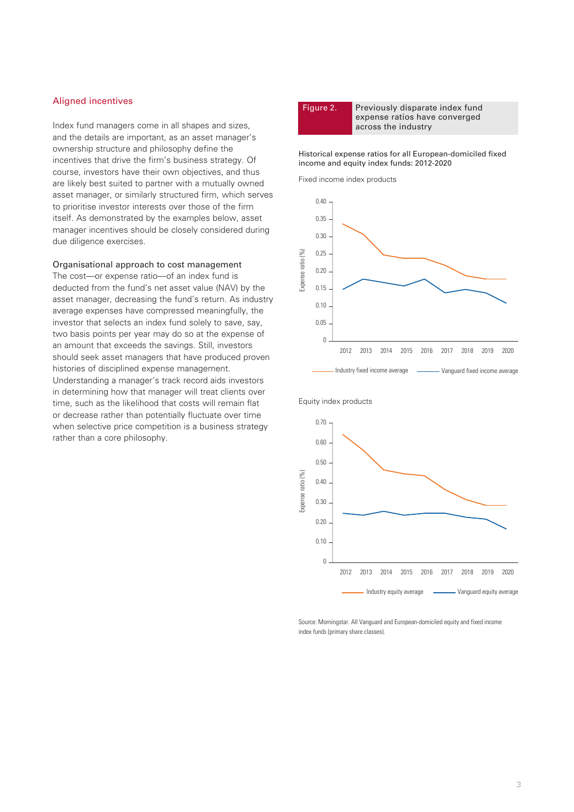### Aligned incentives

Index fund managers come in all shapes and sizes, and the details are important, as an asset manager's ownership structure and philosophy define the incentives that drive the firm's business strategy. Of course, investors have their own objectives, and thus are likely best suited to partner with a mutually owned asset manager, or similarly structured firm, which serves to prioritise investor interests over those of the firm itself. As demonstrated by the examples below, asset manager incentives should be closely considered during due diligence exercises.

Organisational approach to cost management

The cost—or expense ratio—of an index fund is deducted from the fund's net asset value (NAV) by the asset manager, decreasing the fund's return. As industry average expenses have compressed meaningfully, the investor that selects an index fund solely to save, say, two basis points per year may do so at the expense of an amount that exceeds the savings. Still, investors should seek asset managers that have produced proven histories of disciplined expense management. Understanding a manager's track record aids investors in determining how that manager will treat clients over time, such as the likelihood that costs will remain flat or decrease rather than potentially fluctuate over time when selective price competition is a business strategy rather than a core philosophy.

Figure 2. Previously disparate index fund expense ratios have converged across the industry

Historical expense ratios for all European-domiciled fixed income and equity index funds: 2012-2020

Fixed income index products

Equity index products





Source: Morningstar. All Vanguard and European-domiciled equity and fixed income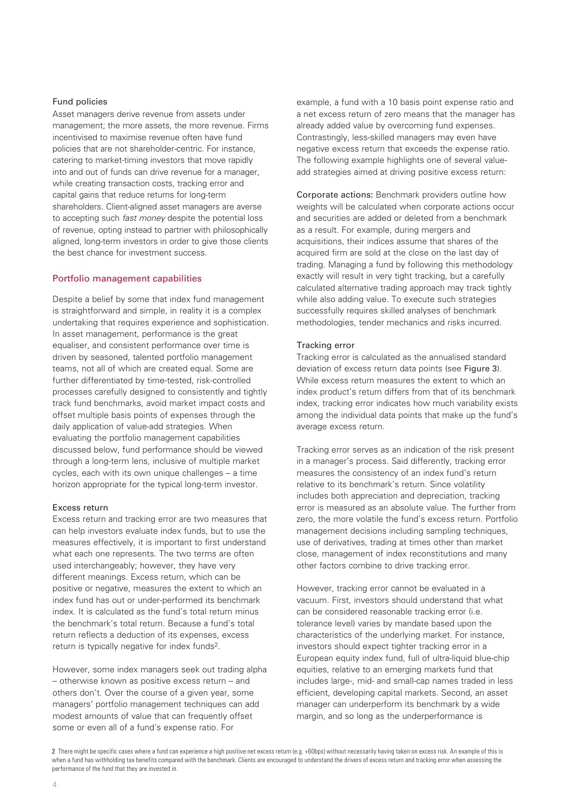### Fund policies

Asset managers derive revenue from assets under management; the more assets, the more revenue. Firms incentivised to maximise revenue often have fund policies that are not shareholder-centric. For instance, catering to market-timing investors that move rapidly into and out of funds can drive revenue for a manager, while creating transaction costs, tracking error and capital gains that reduce returns for long-term shareholders. Client-aligned asset managers are averse to accepting such *fast money* despite the potential loss of revenue, opting instead to partner with philosophically aligned, long-term investors in order to give those clients the best chance for investment success.

### Portfolio management capabilities

Despite a belief by some that index fund management is straightforward and simple, in reality it is a complex undertaking that requires experience and sophistication. In asset management, performance is the great equaliser, and consistent performance over time is driven by seasoned, talented portfolio management teams, not all of which are created equal. Some are further differentiated by time-tested, risk-controlled processes carefully designed to consistently and tightly track fund benchmarks, avoid market impact costs and offset multiple basis points of expenses through the daily application of value-add strategies. When evaluating the portfolio management capabilities discussed below, fund performance should be viewed through a long-term lens, inclusive of multiple market cycles, each with its own unique challenges – a time horizon appropriate for the typical long-term investor.

### Excess return

Excess return and tracking error are two measures that can help investors evaluate index funds, but to use the measures effectively, it is important to first understand what each one represents. The two terms are often used interchangeably; however, they have very different meanings. Excess return, which can be positive or negative, measures the extent to which an index fund has out or under-performed its benchmark index. It is calculated as the fund's total return minus the benchmark's total return. Because a fund's total return reflects a deduction of its expenses, excess return is typically negative for index funds2.

However, some index managers seek out trading alpha – otherwise known as positive excess return – and others don't. Over the course of a given year, some managers' portfolio management techniques can add modest amounts of value that can frequently offset some or even all of a fund's expense ratio. For

example, a fund with a 10 basis point expense ratio and a net excess return of zero means that the manager has already added value by overcoming fund expenses. Contrastingly, less-skilled managers may even have negative excess return that exceeds the expense ratio. The following example highlights one of several valueadd strategies aimed at driving positive excess return:

Corporate actions: Benchmark providers outline how weights will be calculated when corporate actions occur and securities are added or deleted from a benchmark as a result. For example, during mergers and acquisitions, their indices assume that shares of the acquired firm are sold at the close on the last day of trading. Managing a fund by following this methodology exactly will result in very tight tracking, but a carefully calculated alternative trading approach may track tightly while also adding value. To execute such strategies successfully requires skilled analyses of benchmark methodologies, tender mechanics and risks incurred.

### Tracking error

Tracking error is calculated as the annualised standard deviation of excess return data points (see Figure 3). While excess return measures the extent to which an index product's return differs from that of its benchmark index, tracking error indicates how much variability exists among the individual data points that make up the fund's average excess return.

Tracking error serves as an indication of the risk present in a manager's process. Said differently, tracking error measures the consistency of an index fund's return relative to its benchmark's return. Since volatility includes both appreciation and depreciation, tracking error is measured as an absolute value. The further from zero, the more volatile the fund's excess return. Portfolio management decisions including sampling techniques, use of derivatives, trading at times other than market close, management of index reconstitutions and many other factors combine to drive tracking error.

However, tracking error cannot be evaluated in a vacuum. First, investors should understand that what can be considered reasonable tracking error (i.e. tolerance level) varies by mandate based upon the characteristics of the underlying market. For instance, investors should expect tighter tracking error in a European equity index fund, full of ultra-liquid blue-chip equities, relative to an emerging markets fund that includes large-, mid- and small-cap names traded in less efficient, developing capital markets. Second, an asset manager can underperform its benchmark by a wide margin, and so long as the underperformance is

2 There might be specific cases where a fund can experience a high positive net excess return (e.g. +60bps) without necessarily having taken on excess risk. An example of this is when a fund has withholding tax benefits compared with the benchmark. Clients are encouraged to understand the drivers of excess return and tracking error when assessing the performance of the fund that they are invested in.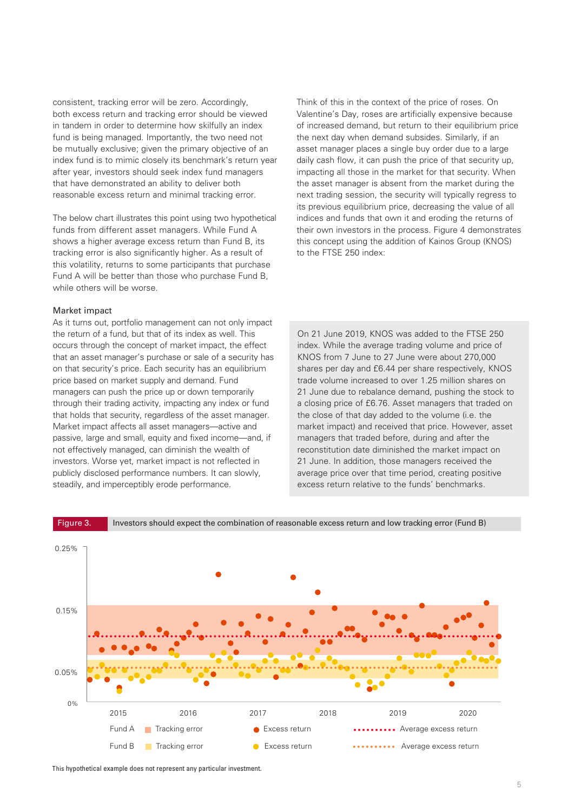consistent, tracking error will be zero. Accordingly, both excess return and tracking error should be viewed in tandem in order to determine how skilfully an index fund is being managed. Importantly, the two need not be mutually exclusive; given the primary objective of an index fund is to mimic closely its benchmark's return year after year, investors should seek index fund managers that have demonstrated an ability to deliver both reasonable excess return and minimal tracking error.

The below chart illustrates this point using two hypothetical funds from different asset managers. While Fund A shows a higher average excess return than Fund B, its tracking error is also significantly higher. As a result of this volatility, returns to some participants that purchase Fund A will be better than those who purchase Fund B, while others will be worse.

### Market impact

As it turns out, portfolio management can not only impact the return of a fund, but that of its index as well. This occurs through the concept of market impact, the effect that an asset manager's purchase or sale of a security has on that security's price. Each security has an equilibrium price based on market supply and demand. Fund managers can push the price up or down temporarily through their trading activity, impacting any index or fund that holds that security, regardless of the asset manager. Market impact affects all asset managers—active and passive, large and small, equity and fixed income—and, if not effectively managed, can diminish the wealth of investors. Worse yet, market impact is not reflected in publicly disclosed performance numbers. It can slowly, steadily, and imperceptibly erode performance.

Think of this in the context of the price of roses. On Valentine's Day, roses are artificially expensive because of increased demand, but return to their equilibrium price the next day when demand subsides. Similarly, if an asset manager places a single buy order due to a large daily cash flow, it can push the price of that security up, impacting all those in the market for that security. When the asset manager is absent from the market during the next trading session, the security will typically regress to its previous equilibrium price, decreasing the value of all indices and funds that own it and eroding the returns of their own investors in the process. Figure 4 demonstrates this concept using the addition of Kainos Group (KNOS) to the FTSE 250 index:

On 21 June 2019, KNOS was added to the FTSE 250 index. While the average trading volume and price of KNOS from 7 June to 27 June were about 270,000 shares per day and £6.44 per share respectively, KNOS trade volume increased to over 1.25 million shares on 21 June due to rebalance demand, pushing the stock to a closing price of £6.76. Asset managers that traded on the close of that day added to the volume (i.e. the market impact) and received that price. However, asset managers that traded before, during and after the reconstitution date diminished the market impact on 21 June. In addition, those managers received the average price over that time period, creating positive excess return relative to the funds' benchmarks.



This hypothetical example does not represent any particular investment.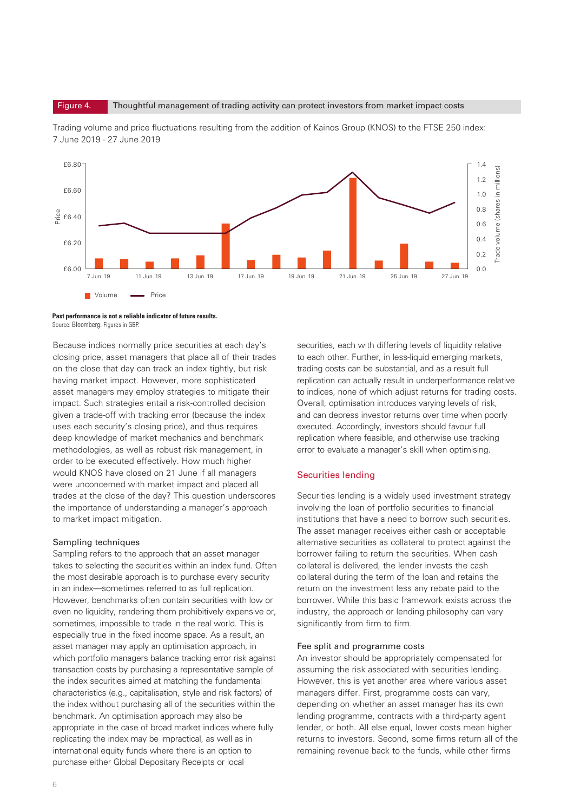Figure 4. Thoughtful management of trading activity can protect investors from market impact costs



Trading volume and price fluctuations resulting from the addition of Kainos Group (KNOS) to the FTSE 250 index: 7 June 2019 - 27 June 2019

Because indices normally price securities at each day's closing price, asset managers that place all of their trades on the close that day can track an index tightly, but risk having market impact. However, more sophisticated asset managers may employ strategies to mitigate their impact. Such strategies entail a risk-controlled decision given a trade-off with tracking error (because the index uses each security's closing price), and thus requires deep knowledge of market mechanics and benchmark methodologies, as well as robust risk management, in order to be executed effectively. How much higher would KNOS have closed on 21 June if all managers were unconcerned with market impact and placed all trades at the close of the day? This question underscores the importance of understanding a manager's approach to market impact mitigation.

### Sampling techniques

Sampling refers to the approach that an asset manager takes to selecting the securities within an index fund. Often the most desirable approach is to purchase every security in an index—sometimes referred to as full replication. However, benchmarks often contain securities with low or even no liquidity, rendering them prohibitively expensive or, sometimes, impossible to trade in the real world. This is especially true in the fixed income space. As a result, an asset manager may apply an optimisation approach, in which portfolio managers balance tracking error risk against transaction costs by purchasing a representative sample of the index securities aimed at matching the fundamental characteristics (e.g., capitalisation, style and risk factors) of the index without purchasing all of the securities within the benchmark. An optimisation approach may also be appropriate in the case of broad market indices where fully replicating the index may be impractical, as well as in international equity funds where there is an option to purchase either Global Depositary Receipts or local

securities, each with differing levels of liquidity relative to each other. Further, in less-liquid emerging markets, trading costs can be substantial, and as a result full replication can actually result in underperformance relative to indices, none of which adjust returns for trading costs. Overall, optimisation introduces varying levels of risk, and can depress investor returns over time when poorly executed. Accordingly, investors should favour full replication where feasible, and otherwise use tracking error to evaluate a manager's skill when optimising.

### Securities lending

Securities lending is a widely used investment strategy involving the loan of portfolio securities to financial institutions that have a need to borrow such securities. The asset manager receives either cash or acceptable alternative securities as collateral to protect against the borrower failing to return the securities. When cash collateral is delivered, the lender invests the cash collateral during the term of the loan and retains the return on the investment less any rebate paid to the borrower. While this basic framework exists across the industry, the approach or lending philosophy can vary significantly from firm to firm.

### Fee split and programme costs

An investor should be appropriately compensated for assuming the risk associated with securities lending. However, this is yet another area where various asset managers differ. First, programme costs can vary, depending on whether an asset manager has its own lending programme, contracts with a third-party agent lender, or both. All else equal, lower costs mean higher returns to investors. Second, some firms return all of the remaining revenue back to the funds, while other firms

**Past performance is not a reliable indicator of future results.**  Source: Bloomberg. Figures in GBP.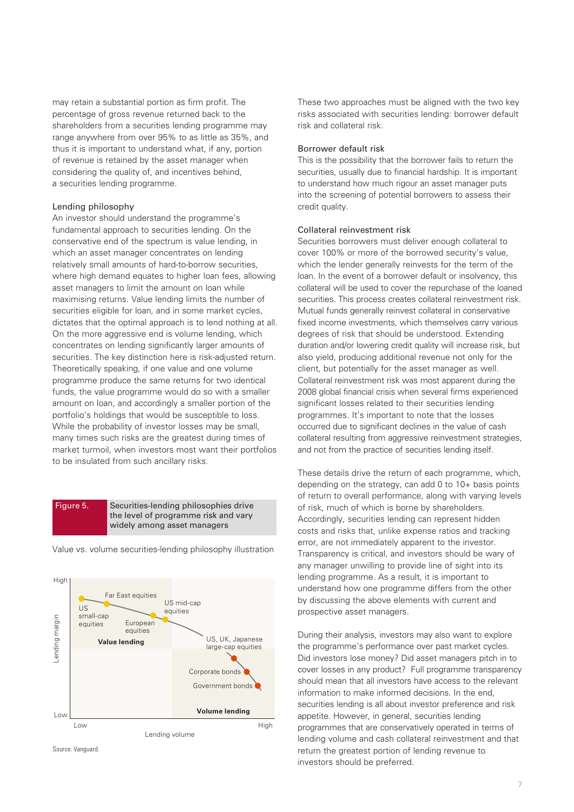may retain a substantial portion as firm profit. The percentage of gross revenue returned back to the shareholders from a securities lending programme may range anywhere from over 95% to as little as 35%, and thus it is important to understand what, if any, portion of revenue is retained by the asset manager when considering the quality of, and incentives behind, a securities lending programme.

### Lending philosophy

An investor should understand the programme's fundamental approach to securities lending. On the conservative end of the spectrum is value lending, in which an asset manager concentrates on lending relatively small amounts of hard-to-borrow securities, where high demand equates to higher loan fees, allowing asset managers to limit the amount on loan while maximising returns. Value lending limits the number of securities eligible for loan, and in some market cycles, dictates that the optimal approach is to lend nothing at all. On the more aggressive end is volume lending, which concentrates on lending significantly larger amounts of securities. The key distinction here is risk-adjusted return. Theoretically speaking, if one value and one volume programme produce the same returns for two identical funds, the value programme would do so with a smaller amount on loan, and accordingly a smaller portion of the portfolio's holdings that would be susceptible to loss. While the probability of investor losses may be small, many times such risks are the greatest during times of market turmoil, when investors most want their portfolios to be insulated from such ancillary risks.

### Figure 5. Securities-lending philosophies drive the level of programme risk and vary widely among asset managers



Value vs. volume securities-lending philosophy illustration

Source: Vanguard

These two approaches must be aligned with the two key risks associated with securities lending: borrower default risk and collateral risk.

### Borrower default risk

This is the possibility that the borrower fails to return the securities, usually due to financial hardship. It is important to understand how much rigour an asset manager puts into the screening of potential borrowers to assess their credit quality.

### Collateral reinvestment risk

Securities borrowers must deliver enough collateral to cover 100% or more of the borrowed security's value, which the lender generally reinvests for the term of the loan. In the event of a borrower default or insolvency, this collateral will be used to cover the repurchase of the loaned securities. This process creates collateral reinvestment risk. Mutual funds generally reinvest collateral in conservative fixed income investments, which themselves carry various degrees of risk that should be understood. Extending duration and/or lowering credit quality will increase risk, but also yield, producing additional revenue not only for the client, but potentially for the asset manager as well. Collateral reinvestment risk was most apparent during the 2008 global financial crisis when several firms experienced significant losses related to their securities lending programmes. It's important to note that the losses occurred due to significant declines in the value of cash collateral resulting from aggressive reinvestment strategies, and not from the practice of securities lending itself.

These details drive the return of each programme, which, depending on the strategy, can add 0 to 10+ basis points of return to overall performance, along with varying levels of risk, much of which is borne by shareholders. Accordingly, securities lending can represent hidden costs and risks that, unlike expense ratios and tracking error, are not immediately apparent to the investor. Transparency is critical, and investors should be wary of any manager unwilling to provide line of sight into its lending programme. As a result, it is important to understand how one programme differs from the other by discussing the above elements with current and prospective asset managers.

During their analysis, investors may also want to explore the programme's performance over past market cycles. Did investors lose money? Did asset managers pitch in to cover losses in any product? Full programme transparency should mean that all investors have access to the relevant information to make informed decisions. In the end, securities lending is all about investor preference and risk appetite. However, in general, securities lending programmes that are conservatively operated in terms of lending volume and cash collateral reinvestment and that return the greatest portion of lending revenue to investors should be preferred.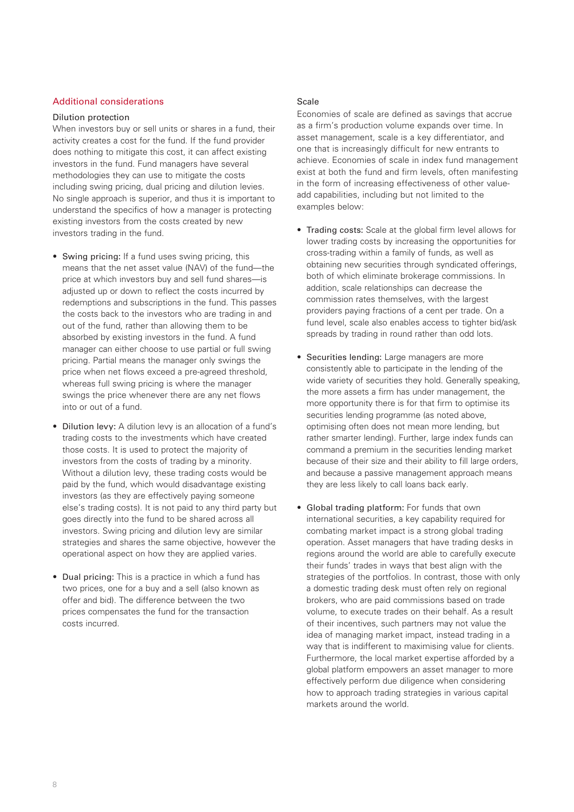### Additional considerations

### Dilution protection

When investors buy or sell units or shares in a fund, their activity creates a cost for the fund. If the fund provider does nothing to mitigate this cost, it can affect existing investors in the fund. Fund managers have several methodologies they can use to mitigate the costs including swing pricing, dual pricing and dilution levies. No single approach is superior, and thus it is important to understand the specifics of how a manager is protecting existing investors from the costs created by new investors trading in the fund.

- Swing pricing: If a fund uses swing pricing, this means that the net asset value (NAV) of the fund—the price at which investors buy and sell fund shares—is adjusted up or down to reflect the costs incurred by redemptions and subscriptions in the fund. This passes the costs back to the investors who are trading in and out of the fund, rather than allowing them to be absorbed by existing investors in the fund. A fund manager can either choose to use partial or full swing pricing. Partial means the manager only swings the price when net flows exceed a pre-agreed threshold, whereas full swing pricing is where the manager swings the price whenever there are any net flows into or out of a fund.
- Dilution levy: A dilution levy is an allocation of a fund's trading costs to the investments which have created those costs. It is used to protect the majority of investors from the costs of trading by a minority. Without a dilution levy, these trading costs would be paid by the fund, which would disadvantage existing investors (as they are effectively paying someone else's trading costs). It is not paid to any third party but goes directly into the fund to be shared across all investors. Swing pricing and dilution levy are similar strategies and shares the same objective, however the operational aspect on how they are applied varies.
- Dual pricing: This is a practice in which a fund has two prices, one for a buy and a sell (also known as offer and bid). The difference between the two prices compensates the fund for the transaction costs incurred.

### Scale

Economies of scale are defined as savings that accrue as a firm's production volume expands over time. In asset management, scale is a key differentiator, and one that is increasingly difficult for new entrants to achieve. Economies of scale in index fund management exist at both the fund and firm levels, often manifesting in the form of increasing effectiveness of other valueadd capabilities, including but not limited to the examples below:

- Trading costs: Scale at the global firm level allows for lower trading costs by increasing the opportunities for cross-trading within a family of funds, as well as obtaining new securities through syndicated offerings, both of which eliminate brokerage commissions. In addition, scale relationships can decrease the commission rates themselves, with the largest providers paying fractions of a cent per trade. On a fund level, scale also enables access to tighter bid/ask spreads by trading in round rather than odd lots.
- Securities lending: Large managers are more consistently able to participate in the lending of the wide variety of securities they hold. Generally speaking, the more assets a firm has under management, the more opportunity there is for that firm to optimise its securities lending programme (as noted above, optimising often does not mean more lending, but rather smarter lending). Further, large index funds can command a premium in the securities lending market because of their size and their ability to fill large orders, and because a passive management approach means they are less likely to call loans back early.
- Global trading platform: For funds that own international securities, a key capability required for combating market impact is a strong global trading operation. Asset managers that have trading desks in regions around the world are able to carefully execute their funds' trades in ways that best align with the strategies of the portfolios. In contrast, those with only a domestic trading desk must often rely on regional brokers, who are paid commissions based on trade volume, to execute trades on their behalf. As a result of their incentives, such partners may not value the idea of managing market impact, instead trading in a way that is indifferent to maximising value for clients. Furthermore, the local market expertise afforded by a global platform empowers an asset manager to more effectively perform due diligence when considering how to approach trading strategies in various capital markets around the world.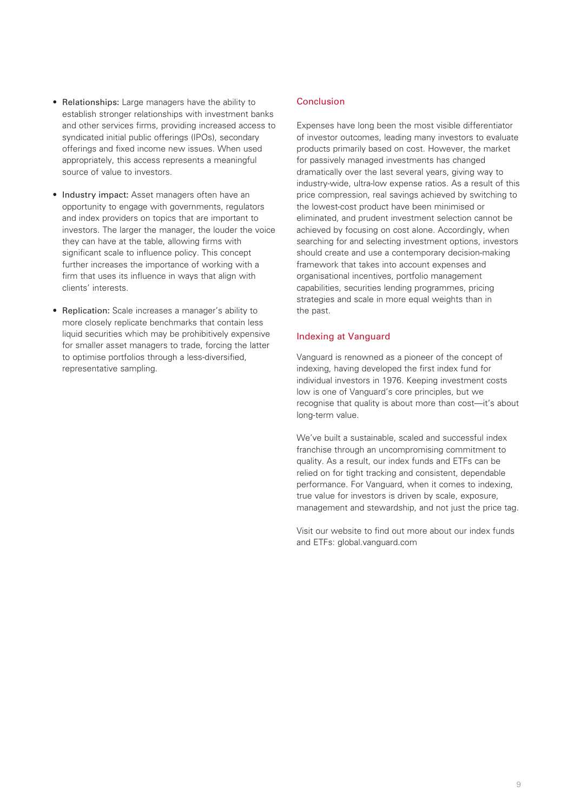- Relationships: Large managers have the ability to establish stronger relationships with investment banks and other services firms, providing increased access to syndicated initial public offerings (IPOs), secondary offerings and fixed income new issues. When used appropriately, this access represents a meaningful source of value to investors.
- Industry impact: Asset managers often have an opportunity to engage with governments, regulators and index providers on topics that are important to investors. The larger the manager, the louder the voice they can have at the table, allowing firms with significant scale to influence policy. This concept further increases the importance of working with a firm that uses its influence in ways that align with clients' interests.
- Replication: Scale increases a manager's ability to more closely replicate benchmarks that contain less liquid securities which may be prohibitively expensive for smaller asset managers to trade, forcing the latter to optimise portfolios through a less-diversified, representative sampling.

### Conclusion

Expenses have long been the most visible differentiator of investor outcomes, leading many investors to evaluate products primarily based on cost. However, the market for passively managed investments has changed dramatically over the last several years, giving way to industry-wide, ultra-low expense ratios. As a result of this price compression, real savings achieved by switching to the lowest-cost product have been minimised or eliminated, and prudent investment selection cannot be achieved by focusing on cost alone. Accordingly, when searching for and selecting investment options, investors should create and use a contemporary decision-making framework that takes into account expenses and organisational incentives, portfolio management capabilities, securities lending programmes, pricing strategies and scale in more equal weights than in the past.

### Indexing at Vanguard

Vanguard is renowned as a pioneer of the concept of indexing, having developed the first index fund for individual investors in 1976. Keeping investment costs low is one of Vanguard's core principles, but we recognise that quality is about more than cost—it's about long-term value.

We've built a sustainable, scaled and successful index franchise through an uncompromising commitment to quality. As a result, our index funds and ETFs can be relied on for tight tracking and consistent, dependable performance. For Vanguard, when it comes to indexing, true value for investors is driven by scale, exposure, management and stewardship, and not just the price tag.

Visit our website to find out more about our index funds and ETFs: global.vanguard.com